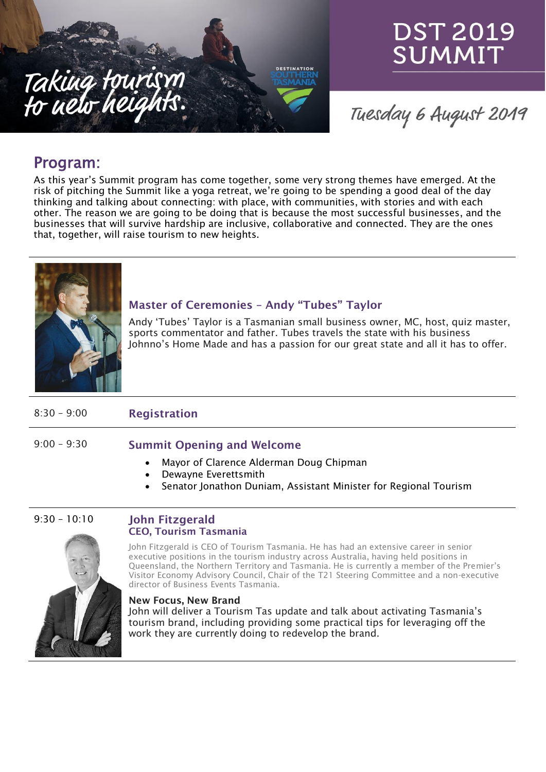

# DST 2019 SUMMIT

Tuesday 6 August 2019

## Program:

As this year's Summit program has come together, some very strong themes have emerged. At the risk of pitching the Summit like a yoga retreat, we're going to be spending a good deal of the day thinking and talking about connecting: with place, with communities, with stories and with each other. The reason we are going to be doing that is because the most successful businesses, and the businesses that will survive hardship are inclusive, collaborative and connected. They are the ones that, together, will raise tourism to new heights.



#### **Master of Ceremonies – Andy "Tubes" Taylor**

Andy 'Tubes' Taylor is a Tasmanian small business owner, MC, host, quiz master, sports commentator and father. Tubes travels the state with his business Johnno's Home Made and has a passion for our great state and all it has to offer.

### 8:30 – 9:00 **Registration**

#### 9:00 – 9:30 **Summit Opening and Welcome**

- Mayor of Clarence Alderman Doug Chipman
- Dewayne Everettsmith
- Senator Jonathon Duniam, Assistant Minister for Regional Tourism

#### 9:30 – 10:10 **John Fitzgerald CEO, Tourism Tasmania**

John Fitzgerald is CEO of Tourism Tasmania. He has had an extensive career in senior executive positions in the tourism industry across Australia, having held positions in Queensland, the Northern Territory and Tasmania. He is currently a member of the Premier's Visitor Economy Advisory Council, Chair of the T21 Steering Committee and a non-executive director of Business Events Tasmania.

#### **New Focus, New Brand**

John will deliver a Tourism Tas update and talk about activating Tasmania's tourism brand, including providing some practical tips for leveraging off the work they are currently doing to redevelop the brand.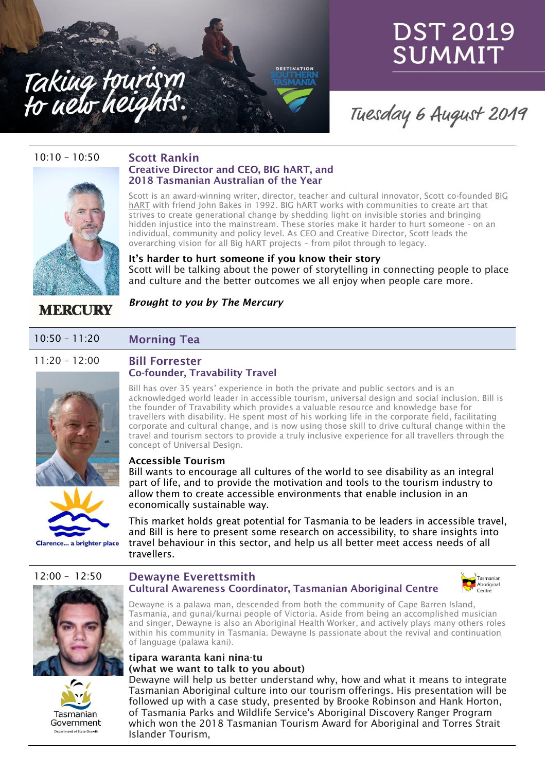

# **DST 2019** SUMMIT

## Tuesday 6 August 2019

#### 10:10 – 10:50 **Scott Rankin**



### **Creative Director and CEO, BIG hART, and 2018 Tasmanian Australian of the Year**

Scott is an award-winning writer, director, teacher and cultural innovator, Scott co-founded [BIG](https://www.bighart.org/) [hART](https://www.bighart.org/) with friend John Bakes in 1992. BIG hART works with communities to create art that strives to create generational change by shedding light on invisible stories and bringing hidden injustice into the mainstream. These stories make it harder to hurt someone - on an individual, community and policy level. As CEO and Creative Director, Scott leads the overarching vision for all Big hART projects – from pilot through to legacy.

**It's harder to hurt someone if you know their story** Scott will be talking about the power of storytelling in connecting people to place and culture and the better outcomes we all enjoy when people care more.

### **MERCURY**

#### *Brought to you by The Mercury*

#### 10:50 – 11:20 **Morning Tea**

### 11:20 – 12:00 **Bill Forrester**

### **Co-founder, Travability Travel**





Clarence... a brighter place

#### Bill has over 35 years' experience in both the private and public sectors and is an acknowledged world leader in accessible tourism, universal design and social inclusion. Bill is the founder of Travability which provides a valuable resource and knowledge base for travellers with disability. He spent most of his working life in the corporate field, facilitating corporate and cultural change, and is now using those skill to drive cultural change within the travel and tourism sectors to provide a truly inclusive experience for all travellers through the concept of Universal Design.

#### **Accessible Tourism**

Bill wants to encourage all cultures of the world to see disability as an integral part of life, and to provide the motivation and tools to the tourism industry to allow them to create accessible environments that enable inclusion in an economically sustainable way.

This market holds great potential for Tasmania to be leaders in accessible travel, and Bill is here to present some research on accessibility, to share insights into travel behaviour in this sector, and help us all better meet access needs of all travellers.





#### 12:00 – 12:50 **Dewayne Everettsmith Cultural Awareness Coordinator, Tasmanian Aboriginal Centre**



Dewayne is a palawa man, descended from both the community of Cape Barren Island, Tasmania, and gunai/kurnai people of Victoria. Aside from being an accomplished musician and singer, Dewayne is also an Aboriginal Health Worker, and actively plays many others roles within his community in Tasmania. Dewayne Is passionate about the revival and continuation of language (palawa kani).

#### **tipara waranta kani nina-tu (what we want to talk to you about)**

Dewayne will help us better understand why, how and what it means to integrate Tasmanian Aboriginal culture into our tourism offerings. His presentation will be followed up with a case study, presented by Brooke Robinson and Hank Horton, of Tasmania Parks and Wildlife Service's Aboriginal Discovery Ranger Program which won the 2018 Tasmanian Tourism Award for Aboriginal and Torres Strait Islander Tourism,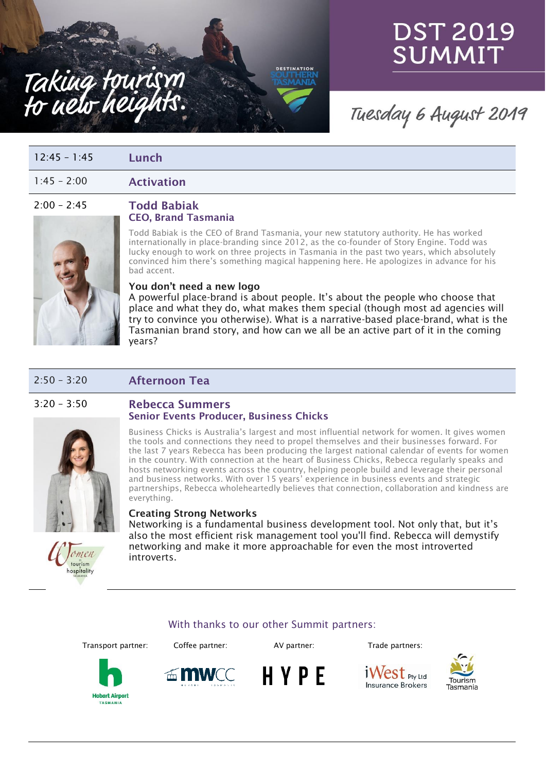



## Tuesday 6 August 2019

| $12:45 - 1:45$ | Lunch |
|----------------|-------|
|----------------|-------|

1:45 – 2:00 **Activation**

#### 2:00 – 2:45 **Todd Babiak CEO, Brand Tasmania**



#### Todd Babiak is the CEO of Brand Tasmania, your new statutory authority. He has worked internationally in place-branding since 2012, as the co-founder of Story Engine. Todd was lucky enough to work on three projects in Tasmania in the past two years, which absolutely convinced him there's something magical happening here. He apologizes in advance for his bad accent.

**DESTINATION** 

#### **You don't need a new logo**

A powerful place-brand is about people. It's about the people who choose that place and what they do, what makes them special (though most ad agencies will try to convince you otherwise). What is a narrative-based place-brand, what is the Tasmanian brand story, and how can we all be an active part of it in the coming years?

### 2:50 – 3:20 **Afternoon Tea**





omen tourism hospitality

Business Chicks is Australia's largest and most influential network for women. It gives women the tools and connections they need to propel themselves and their businesses forward. For the last 7 years Rebecca has been producing the largest national calendar of events for women in the country. With connection at the heart of Business Chicks, Rebecca regularly speaks and hosts networking events across the country, helping people build and leverage their personal and business networks. With over 15 years' experience in business events and strategic partnerships, Rebecca wholeheartedly believes that connection, collaboration and kindness are everything.

#### **Creating Strong Networks**

Networking is a fundamental business development tool. Not only that, but it's also the most efficient risk management tool you'll find. Rebecca will demystify networking and make it more approachable for even the most introverted introverts.

#### With thanks to our other Summit partners:

Transport partner: Coffee partner: AV partner: Trade partners:





HYPE